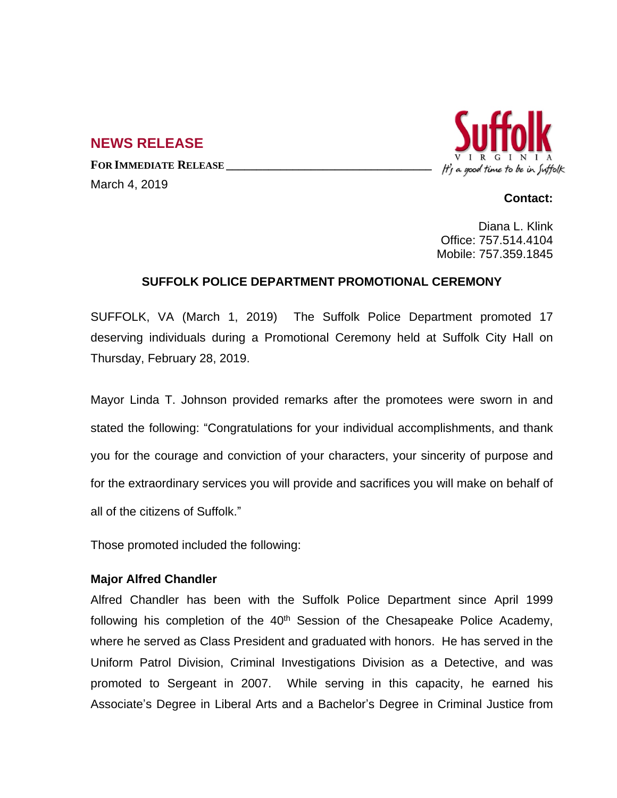# **NEWS RELEASE**

**FOR IMMEDIATE RELEASE \_\_\_\_\_\_\_\_\_\_\_\_\_\_\_\_\_\_\_\_\_\_\_\_\_\_\_\_\_\_\_\_\_\_** March 4, 2019



## **Contact:**

Diana L. Klink Office: 757.514.4104 Mobile: 757.359.1845

# **SUFFOLK POLICE DEPARTMENT PROMOTIONAL CEREMONY**

SUFFOLK, VA (March 1, 2019) The Suffolk Police Department promoted 17 deserving individuals during a Promotional Ceremony held at Suffolk City Hall on Thursday, February 28, 2019.

Mayor Linda T. Johnson provided remarks after the promotees were sworn in and stated the following: "Congratulations for your individual accomplishments, and thank you for the courage and conviction of your characters, your sincerity of purpose and for the extraordinary services you will provide and sacrifices you will make on behalf of all of the citizens of Suffolk."

Those promoted included the following:

# **Major Alfred Chandler**

Alfred Chandler has been with the Suffolk Police Department since April 1999 following his completion of the  $40<sup>th</sup>$  Session of the Chesapeake Police Academy, where he served as Class President and graduated with honors. He has served in the Uniform Patrol Division, Criminal Investigations Division as a Detective, and was promoted to Sergeant in 2007. While serving in this capacity, he earned his Associate's Degree in Liberal Arts and a Bachelor's Degree in Criminal Justice from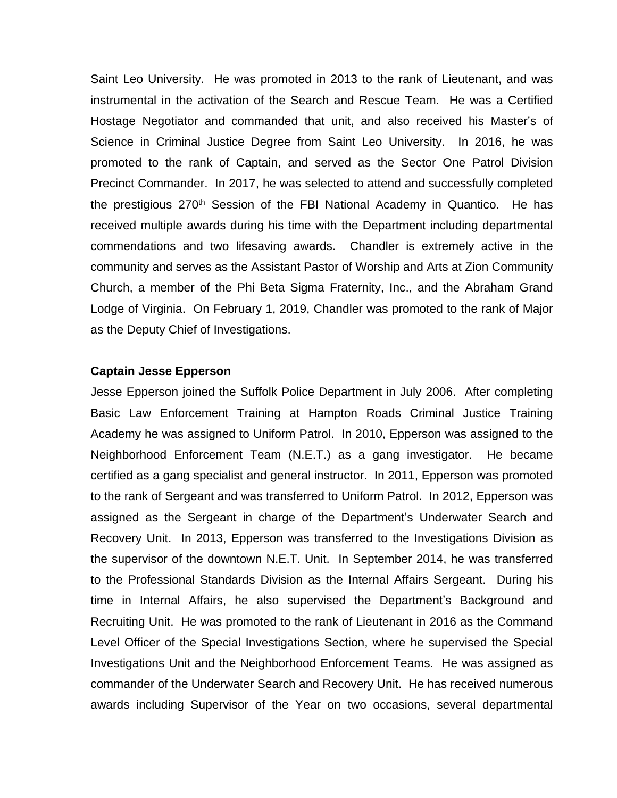Saint Leo University. He was promoted in 2013 to the rank of Lieutenant, and was instrumental in the activation of the Search and Rescue Team. He was a Certified Hostage Negotiator and commanded that unit, and also received his Master's of Science in Criminal Justice Degree from Saint Leo University. In 2016, he was promoted to the rank of Captain, and served as the Sector One Patrol Division Precinct Commander. In 2017, he was selected to attend and successfully completed the prestigious 270<sup>th</sup> Session of the FBI National Academy in Quantico. He has received multiple awards during his time with the Department including departmental commendations and two lifesaving awards. Chandler is extremely active in the community and serves as the Assistant Pastor of Worship and Arts at Zion Community Church, a member of the Phi Beta Sigma Fraternity, Inc., and the Abraham Grand Lodge of Virginia. On February 1, 2019, Chandler was promoted to the rank of Major as the Deputy Chief of Investigations.

## **Captain Jesse Epperson**

Jesse Epperson joined the Suffolk Police Department in July 2006. After completing Basic Law Enforcement Training at Hampton Roads Criminal Justice Training Academy he was assigned to Uniform Patrol. In 2010, Epperson was assigned to the Neighborhood Enforcement Team (N.E.T.) as a gang investigator. He became certified as a gang specialist and general instructor. In 2011, Epperson was promoted to the rank of Sergeant and was transferred to Uniform Patrol. In 2012, Epperson was assigned as the Sergeant in charge of the Department's Underwater Search and Recovery Unit. In 2013, Epperson was transferred to the Investigations Division as the supervisor of the downtown N.E.T. Unit. In September 2014, he was transferred to the Professional Standards Division as the Internal Affairs Sergeant. During his time in Internal Affairs, he also supervised the Department's Background and Recruiting Unit. He was promoted to the rank of Lieutenant in 2016 as the Command Level Officer of the Special Investigations Section, where he supervised the Special Investigations Unit and the Neighborhood Enforcement Teams. He was assigned as commander of the Underwater Search and Recovery Unit. He has received numerous awards including Supervisor of the Year on two occasions, several departmental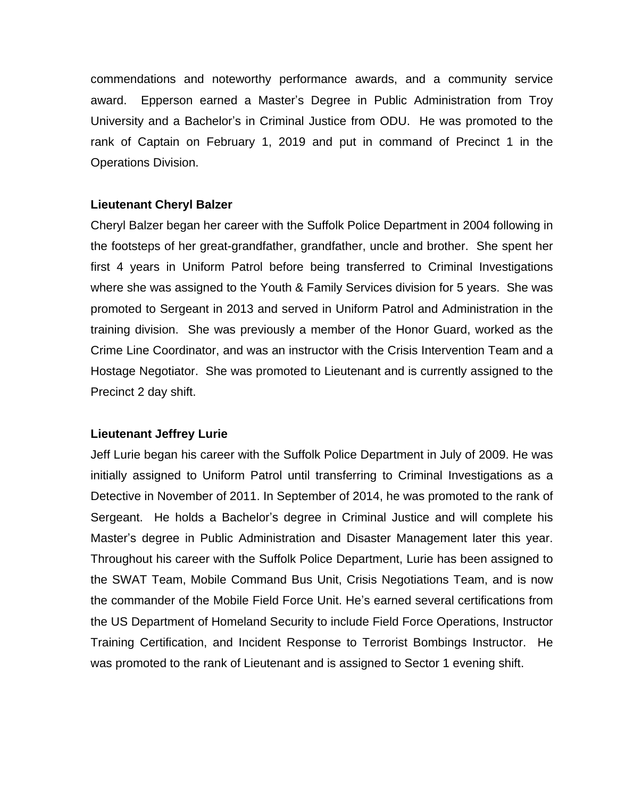commendations and noteworthy performance awards, and a community service award. Epperson earned a Master's Degree in Public Administration from Troy University and a Bachelor's in Criminal Justice from ODU. He was promoted to the rank of Captain on February 1, 2019 and put in command of Precinct 1 in the Operations Division.

# **Lieutenant Cheryl Balzer**

Cheryl Balzer began her career with the Suffolk Police Department in 2004 following in the footsteps of her great-grandfather, grandfather, uncle and brother. She spent her first 4 years in Uniform Patrol before being transferred to Criminal Investigations where she was assigned to the Youth & Family Services division for 5 years. She was promoted to Sergeant in 2013 and served in Uniform Patrol and Administration in the training division. She was previously a member of the Honor Guard, worked as the Crime Line Coordinator, and was an instructor with the Crisis Intervention Team and a Hostage Negotiator. She was promoted to Lieutenant and is currently assigned to the Precinct 2 day shift.

# **Lieutenant Jeffrey Lurie**

Jeff Lurie began his career with the Suffolk Police Department in July of 2009. He was initially assigned to Uniform Patrol until transferring to Criminal Investigations as a Detective in November of 2011. In September of 2014, he was promoted to the rank of Sergeant. He holds a Bachelor's degree in Criminal Justice and will complete his Master's degree in Public Administration and Disaster Management later this year. Throughout his career with the Suffolk Police Department, Lurie has been assigned to the SWAT Team, Mobile Command Bus Unit, Crisis Negotiations Team, and is now the commander of the Mobile Field Force Unit. He's earned several certifications from the US Department of Homeland Security to include Field Force Operations, Instructor Training Certification, and Incident Response to Terrorist Bombings Instructor. He was promoted to the rank of Lieutenant and is assigned to Sector 1 evening shift.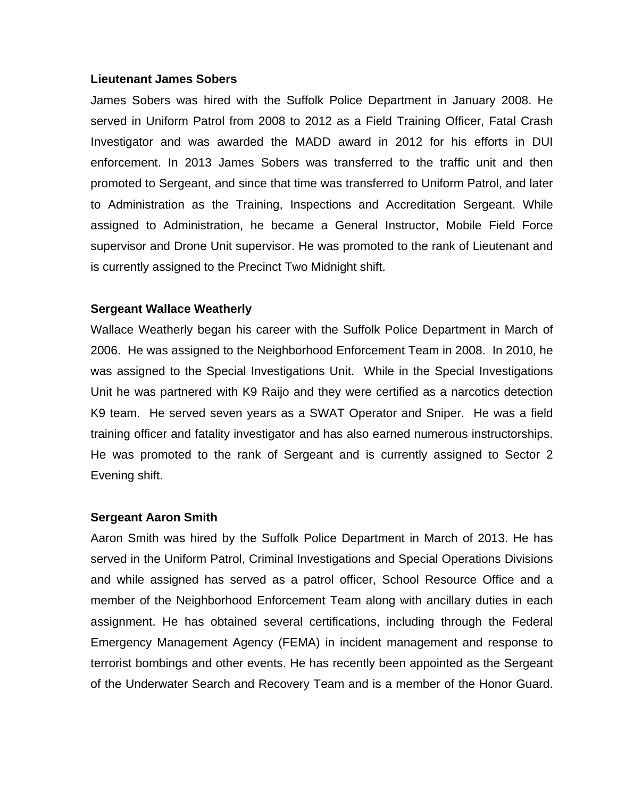## **Lieutenant James Sobers**

James Sobers was hired with the Suffolk Police Department in January 2008. He served in Uniform Patrol from 2008 to 2012 as a Field Training Officer, Fatal Crash Investigator and was awarded the MADD award in 2012 for his efforts in DUI enforcement. In 2013 James Sobers was transferred to the traffic unit and then promoted to Sergeant, and since that time was transferred to Uniform Patrol, and later to Administration as the Training, Inspections and Accreditation Sergeant. While assigned to Administration, he became a General Instructor, Mobile Field Force supervisor and Drone Unit supervisor. He was promoted to the rank of Lieutenant and is currently assigned to the Precinct Two Midnight shift.

## **Sergeant Wallace Weatherly**

Wallace Weatherly began his career with the Suffolk Police Department in March of 2006. He was assigned to the Neighborhood Enforcement Team in 2008. In 2010, he was assigned to the Special Investigations Unit. While in the Special Investigations Unit he was partnered with K9 Raijo and they were certified as a narcotics detection K9 team. He served seven years as a SWAT Operator and Sniper. He was a field training officer and fatality investigator and has also earned numerous instructorships. He was promoted to the rank of Sergeant and is currently assigned to Sector 2 Evening shift.

## **Sergeant Aaron Smith**

Aaron Smith was hired by the Suffolk Police Department in March of 2013. He has served in the Uniform Patrol, Criminal Investigations and Special Operations Divisions and while assigned has served as a patrol officer, School Resource Office and a member of the Neighborhood Enforcement Team along with ancillary duties in each assignment. He has obtained several certifications, including through the Federal Emergency Management Agency (FEMA) in incident management and response to terrorist bombings and other events. He has recently been appointed as the Sergeant of the Underwater Search and Recovery Team and is a member of the Honor Guard.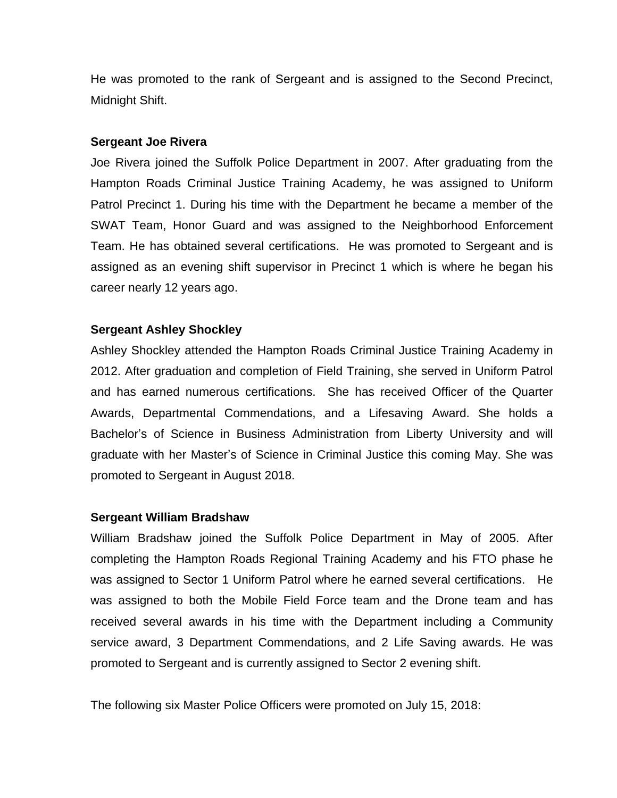He was promoted to the rank of Sergeant and is assigned to the Second Precinct, Midnight Shift.

## **Sergeant Joe Rivera**

Joe Rivera joined the Suffolk Police Department in 2007. After graduating from the Hampton Roads Criminal Justice Training Academy, he was assigned to Uniform Patrol Precinct 1. During his time with the Department he became a member of the SWAT Team, Honor Guard and was assigned to the Neighborhood Enforcement Team. He has obtained several certifications. He was promoted to Sergeant and is assigned as an evening shift supervisor in Precinct 1 which is where he began his career nearly 12 years ago.

# **Sergeant Ashley Shockley**

Ashley Shockley attended the Hampton Roads Criminal Justice Training Academy in 2012. After graduation and completion of Field Training, she served in Uniform Patrol and has earned numerous certifications. She has received Officer of the Quarter Awards, Departmental Commendations, and a Lifesaving Award. She holds a Bachelor's of Science in Business Administration from Liberty University and will graduate with her Master's of Science in Criminal Justice this coming May. She was promoted to Sergeant in August 2018.

## **Sergeant William Bradshaw**

William Bradshaw joined the Suffolk Police Department in May of 2005. After completing the Hampton Roads Regional Training Academy and his FTO phase he was assigned to Sector 1 Uniform Patrol where he earned several certifications. He was assigned to both the Mobile Field Force team and the Drone team and has received several awards in his time with the Department including a Community service award, 3 Department Commendations, and 2 Life Saving awards. He was promoted to Sergeant and is currently assigned to Sector 2 evening shift.

The following six Master Police Officers were promoted on July 15, 2018: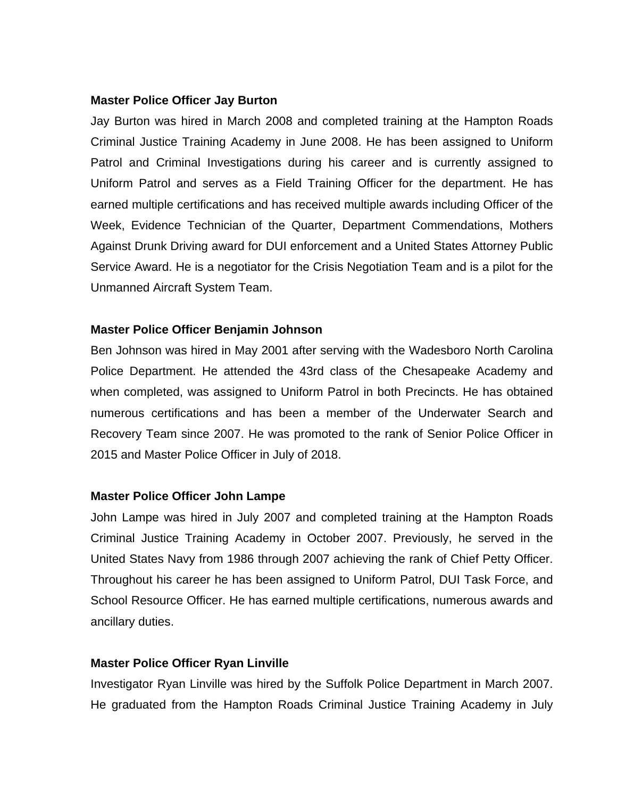## **Master Police Officer Jay Burton**

Jay Burton was hired in March 2008 and completed training at the Hampton Roads Criminal Justice Training Academy in June 2008. He has been assigned to Uniform Patrol and Criminal Investigations during his career and is currently assigned to Uniform Patrol and serves as a Field Training Officer for the department. He has earned multiple certifications and has received multiple awards including Officer of the Week, Evidence Technician of the Quarter, Department Commendations, Mothers Against Drunk Driving award for DUI enforcement and a United States Attorney Public Service Award. He is a negotiator for the Crisis Negotiation Team and is a pilot for the Unmanned Aircraft System Team.

# **Master Police Officer Benjamin Johnson**

Ben Johnson was hired in May 2001 after serving with the Wadesboro North Carolina Police Department. He attended the 43rd class of the Chesapeake Academy and when completed, was assigned to Uniform Patrol in both Precincts. He has obtained numerous certifications and has been a member of the Underwater Search and Recovery Team since 2007. He was promoted to the rank of Senior Police Officer in 2015 and Master Police Officer in July of 2018.

## **Master Police Officer John Lampe**

John Lampe was hired in July 2007 and completed training at the Hampton Roads Criminal Justice Training Academy in October 2007. Previously, he served in the United States Navy from 1986 through 2007 achieving the rank of Chief Petty Officer. Throughout his career he has been assigned to Uniform Patrol, DUI Task Force, and School Resource Officer. He has earned multiple certifications, numerous awards and ancillary duties.

# **Master Police Officer Ryan Linville**

Investigator Ryan Linville was hired by the Suffolk Police Department in March 2007. He graduated from the Hampton Roads Criminal Justice Training Academy in July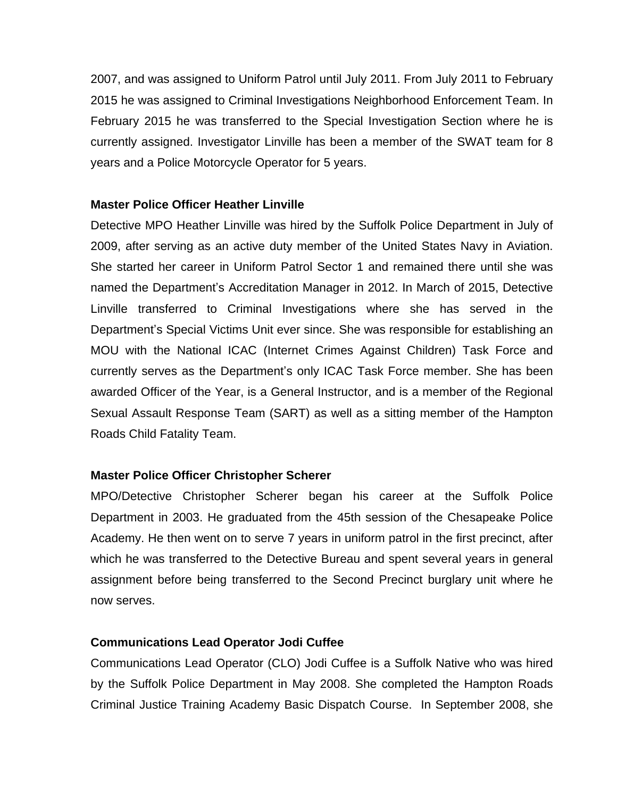2007, and was assigned to Uniform Patrol until July 2011. From July 2011 to February 2015 he was assigned to Criminal Investigations Neighborhood Enforcement Team. In February 2015 he was transferred to the Special Investigation Section where he is currently assigned. Investigator Linville has been a member of the SWAT team for 8 years and a Police Motorcycle Operator for 5 years.

# **Master Police Officer Heather Linville**

Detective MPO Heather Linville was hired by the Suffolk Police Department in July of 2009, after serving as an active duty member of the United States Navy in Aviation. She started her career in Uniform Patrol Sector 1 and remained there until she was named the Department's Accreditation Manager in 2012. In March of 2015, Detective Linville transferred to Criminal Investigations where she has served in the Department's Special Victims Unit ever since. She was responsible for establishing an MOU with the National ICAC (Internet Crimes Against Children) Task Force and currently serves as the Department's only ICAC Task Force member. She has been awarded Officer of the Year, is a General Instructor, and is a member of the Regional Sexual Assault Response Team (SART) as well as a sitting member of the Hampton Roads Child Fatality Team.

# **Master Police Officer Christopher Scherer**

MPO/Detective Christopher Scherer began his career at the Suffolk Police Department in 2003. He graduated from the 45th session of the Chesapeake Police Academy. He then went on to serve 7 years in uniform patrol in the first precinct, after which he was transferred to the Detective Bureau and spent several years in general assignment before being transferred to the Second Precinct burglary unit where he now serves.

# **Communications Lead Operator Jodi Cuffee**

Communications Lead Operator (CLO) Jodi Cuffee is a Suffolk Native who was hired by the Suffolk Police Department in May 2008. She completed the Hampton Roads Criminal Justice Training Academy Basic Dispatch Course. In September 2008, she